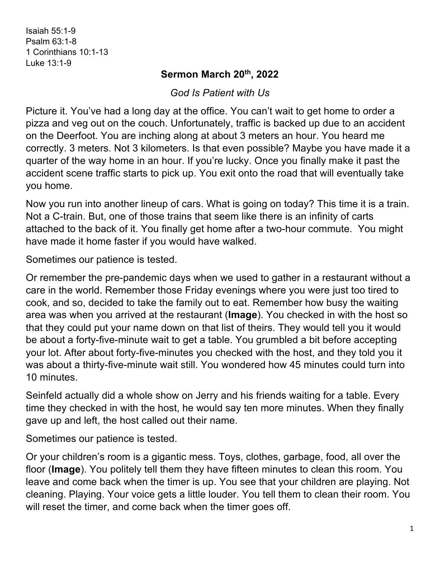Isaiah 55:1-9 Psalm 63:1-8 1 Corinthians 10:1-13 Luke 13:1-9

## **Sermon March 20th, 2022**

*God Is Patient with Us*

Picture it. You've had a long day at the office. You can't wait to get home to order a pizza and veg out on the couch. Unfortunately, traffic is backed up due to an accident on the Deerfoot. You are inching along at about 3 meters an hour. You heard me correctly. 3 meters. Not 3 kilometers. Is that even possible? Maybe you have made it a quarter of the way home in an hour. If you're lucky. Once you finally make it past the accident scene traffic starts to pick up. You exit onto the road that will eventually take you home.

Now you run into another lineup of cars. What is going on today? This time it is a train. Not a C-train. But, one of those trains that seem like there is an infinity of carts attached to the back of it. You finally get home after a two-hour commute. You might have made it home faster if you would have walked.

Sometimes our patience is tested.

Or remember the pre-pandemic days when we used to gather in a restaurant without a care in the world. Remember those Friday evenings where you were just too tired to cook, and so, decided to take the family out to eat. Remember how busy the waiting area was when you arrived at the restaurant (**Image**). You checked in with the host so that they could put your name down on that list of theirs. They would tell you it would be about a forty-five-minute wait to get a table. You grumbled a bit before accepting your lot. After about forty-five-minutes you checked with the host, and they told you it was about a thirty-five-minute wait still. You wondered how 45 minutes could turn into 10 minutes.

Seinfeld actually did a whole show on Jerry and his friends waiting for a table. Every time they checked in with the host, he would say ten more minutes. When they finally gave up and left, the host called out their name.

Sometimes our patience is tested.

Or your children's room is a gigantic mess. Toys, clothes, garbage, food, all over the floor (**Image**). You politely tell them they have fifteen minutes to clean this room. You leave and come back when the timer is up. You see that your children are playing. Not cleaning. Playing. Your voice gets a little louder. You tell them to clean their room. You will reset the timer, and come back when the timer goes off.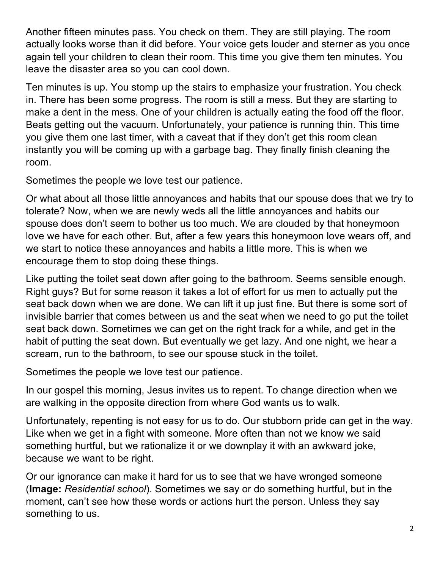Another fifteen minutes pass. You check on them. They are still playing. The room actually looks worse than it did before. Your voice gets louder and sterner as you once again tell your children to clean their room. This time you give them ten minutes. You leave the disaster area so you can cool down.

Ten minutes is up. You stomp up the stairs to emphasize your frustration. You check in. There has been some progress. The room is still a mess. But they are starting to make a dent in the mess. One of your children is actually eating the food off the floor. Beats getting out the vacuum. Unfortunately, your patience is running thin. This time you give them one last timer, with a caveat that if they don't get this room clean instantly you will be coming up with a garbage bag. They finally finish cleaning the room.

Sometimes the people we love test our patience.

Or what about all those little annoyances and habits that our spouse does that we try to tolerate? Now, when we are newly weds all the little annoyances and habits our spouse does don't seem to bother us too much. We are clouded by that honeymoon love we have for each other. But, after a few years this honeymoon love wears off, and we start to notice these annoyances and habits a little more. This is when we encourage them to stop doing these things.

Like putting the toilet seat down after going to the bathroom. Seems sensible enough. Right guys? But for some reason it takes a lot of effort for us men to actually put the seat back down when we are done. We can lift it up just fine. But there is some sort of invisible barrier that comes between us and the seat when we need to go put the toilet seat back down. Sometimes we can get on the right track for a while, and get in the habit of putting the seat down. But eventually we get lazy. And one night, we hear a scream, run to the bathroom, to see our spouse stuck in the toilet.

Sometimes the people we love test our patience.

In our gospel this morning, Jesus invites us to repent. To change direction when we are walking in the opposite direction from where God wants us to walk.

Unfortunately, repenting is not easy for us to do. Our stubborn pride can get in the way. Like when we get in a fight with someone. More often than not we know we said something hurtful, but we rationalize it or we downplay it with an awkward joke, because we want to be right.

Or our ignorance can make it hard for us to see that we have wronged someone (**Image:** *Residential school*). Sometimes we say or do something hurtful, but in the moment, can't see how these words or actions hurt the person. Unless they say something to us.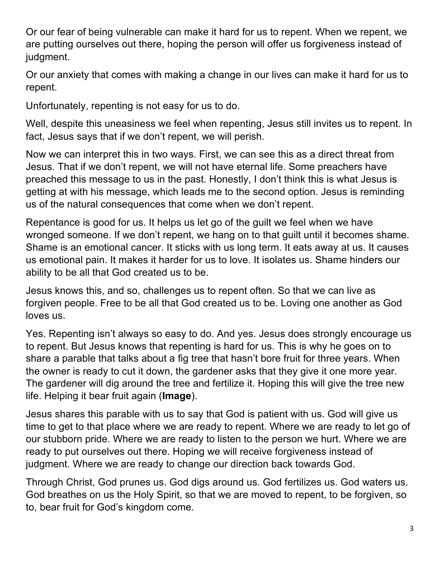Or our fear of being vulnerable can make it hard for us to repent. When we repent, we are putting ourselves out there, hoping the person will offer us forgiveness instead of judgment.

Or our anxiety that comes with making a change in our lives can make it hard for us to repent.

Unfortunately, repenting is not easy for us to do.

Well, despite this uneasiness we feel when repenting, Jesus still invites us to repent. In fact, Jesus says that if we don't repent, we will perish.

Now we can interpret this in two ways. First, we can see this as a direct threat from Jesus. That if we don't repent, we will not have eternal life. Some preachers have preached this message to us in the past. Honestly, I don't think this is what Jesus is getting at with his message, which leads me to the second option. Jesus is reminding us of the natural consequences that come when we don't repent.

Repentance is good for us. It helps us let go of the guilt we feel when we have wronged someone. If we don't repent, we hang on to that guilt until it becomes shame. Shame is an emotional cancer. It sticks with us long term. It eats away at us. It causes us emotional pain. It makes it harder for us to love. It isolates us. Shame hinders our ability to be all that God created us to be.

Jesus knows this, and so, challenges us to repent often. So that we can live as forgiven people. Free to be all that God created us to be. Loving one another as God loves us.

Yes. Repenting isn't always so easy to do. And yes. Jesus does strongly encourage us to repent. But Jesus knows that repenting is hard for us. This is why he goes on to share a parable that talks about a fig tree that hasn't bore fruit for three years. When the owner is ready to cut it down, the gardener asks that they give it one more year. The gardener will dig around the tree and fertilize it. Hoping this will give the tree new life. Helping it bear fruit again (**Image**).

Jesus shares this parable with us to say that God is patient with us. God will give us time to get to that place where we are ready to repent. Where we are ready to let go of our stubborn pride. Where we are ready to listen to the person we hurt. Where we are ready to put ourselves out there. Hoping we will receive forgiveness instead of judgment. Where we are ready to change our direction back towards God.

Through Christ, God prunes us. God digs around us. God fertilizes us. God waters us. God breathes on us the Holy Spirit, so that we are moved to repent, to be forgiven, so to, bear fruit for God's kingdom come.